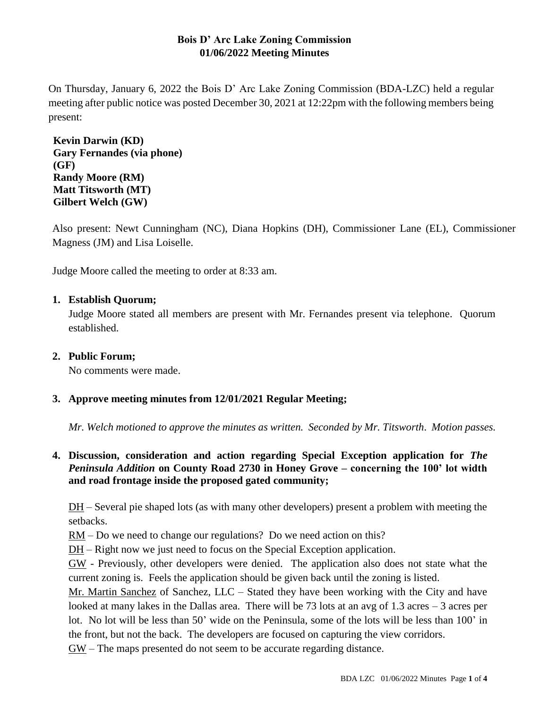# **Bois D' Arc Lake Zoning Commission 01/06/2022 Meeting Minutes**

On Thursday, January 6, 2022 the Bois D' Arc Lake Zoning Commission (BDA-LZC) held a regular meeting after public notice was posted December 30, 2021 at 12:22pm with the following members being present:

**Kevin Darwin (KD) Gary Fernandes (via phone) (GF) Randy Moore (RM) Matt Titsworth (MT) Gilbert Welch (GW)**

Also present: Newt Cunningham (NC), Diana Hopkins (DH), Commissioner Lane (EL), Commissioner Magness (JM) and Lisa Loiselle.

Judge Moore called the meeting to order at 8:33 am.

## **1. Establish Quorum;**

Judge Moore stated all members are present with Mr. Fernandes present via telephone. Quorum established.

### **2. Public Forum;**

No comments were made.

# **3. Approve meeting minutes from 12/01/2021 Regular Meeting;**

*Mr. Welch motioned to approve the minutes as written. Seconded by Mr. Titsworth*. *Motion passes.*

# **4. Discussion, consideration and action regarding Special Exception application for** *The Peninsula Addition* **on County Road 2730 in Honey Grove – concerning the 100' lot width and road frontage inside the proposed gated community;**

DH – Several pie shaped lots (as with many other developers) present a problem with meeting the setbacks.

RM – Do we need to change our regulations? Do we need action on this?

DH – Right now we just need to focus on the Special Exception application.

GW - Previously, other developers were denied. The application also does not state what the current zoning is. Feels the application should be given back until the zoning is listed.

Mr. Martin Sanchez of Sanchez, LLC – Stated they have been working with the City and have looked at many lakes in the Dallas area. There will be 73 lots at an avg of 1.3 acres  $-3$  acres per lot. No lot will be less than 50' wide on the Peninsula, some of the lots will be less than 100' in the front, but not the back. The developers are focused on capturing the view corridors.

GW – The maps presented do not seem to be accurate regarding distance.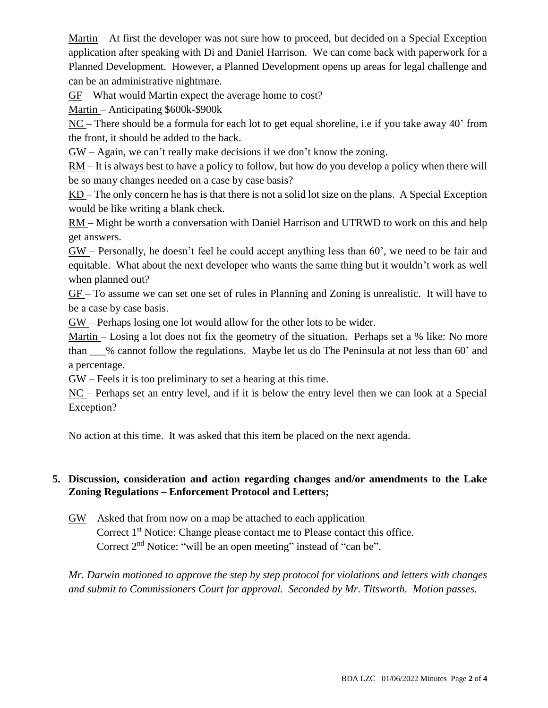Martin – At first the developer was not sure how to proceed, but decided on a Special Exception application after speaking with Di and Daniel Harrison. We can come back with paperwork for a Planned Development. However, a Planned Development opens up areas for legal challenge and can be an administrative nightmare.

GF – What would Martin expect the average home to cost?

Martin – Anticipating \$600k-\$900k

NC – There should be a formula for each lot to get equal shoreline, i.e if you take away 40' from the front, it should be added to the back.

GW – Again, we can't really make decisions if we don't know the zoning.

 $RM - It$  is always best to have a policy to follow, but how do you develop a policy when there will be so many changes needed on a case by case basis?

KD – The only concern he has is that there is not a solid lot size on the plans. A Special Exception would be like writing a blank check.

RM – Might be worth a conversation with Daniel Harrison and UTRWD to work on this and help get answers.

GW – Personally, he doesn't feel he could accept anything less than 60', we need to be fair and equitable. What about the next developer who wants the same thing but it wouldn't work as well when planned out?

GF – To assume we can set one set of rules in Planning and Zoning is unrealistic. It will have to be a case by case basis.

GW – Perhaps losing one lot would allow for the other lots to be wider.

Martin – Losing a lot does not fix the geometry of the situation. Perhaps set a % like: No more than \_\_\_% cannot follow the regulations. Maybe let us do The Peninsula at not less than 60' and a percentage.

GW – Feels it is too preliminary to set a hearing at this time.

NC – Perhaps set an entry level, and if it is below the entry level then we can look at a Special Exception?

No action at this time. It was asked that this item be placed on the next agenda.

# **5. Discussion, consideration and action regarding changes and/or amendments to the Lake Zoning Regulations – Enforcement Protocol and Letters;**

GW – Asked that from now on a map be attached to each application

Correct 1<sup>st</sup> Notice: Change please contact me to Please contact this office. Correct 2<sup>nd</sup> Notice: "will be an open meeting" instead of "can be".

*Mr. Darwin motioned to approve the step by step protocol for violations and letters with changes and submit to Commissioners Court for approval. Seconded by Mr. Titsworth. Motion passes.*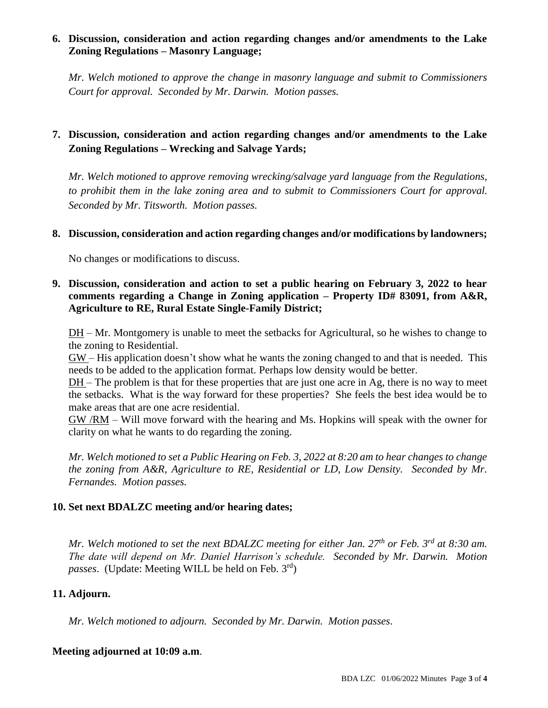# **6. Discussion, consideration and action regarding changes and/or amendments to the Lake Zoning Regulations – Masonry Language;**

*Mr. Welch motioned to approve the change in masonry language and submit to Commissioners Court for approval. Seconded by Mr. Darwin. Motion passes.*

# **7. Discussion, consideration and action regarding changes and/or amendments to the Lake Zoning Regulations – Wrecking and Salvage Yards;**

*Mr. Welch motioned to approve removing wrecking/salvage yard language from the Regulations, to prohibit them in the lake zoning area and to submit to Commissioners Court for approval. Seconded by Mr. Titsworth. Motion passes.*

### **8. Discussion, consideration and action regarding changes and/or modifications by landowners;**

No changes or modifications to discuss.

## **9. Discussion, consideration and action to set a public hearing on February 3, 2022 to hear comments regarding a Change in Zoning application – Property ID# 83091, from A&R, Agriculture to RE, Rural Estate Single-Family District;**

DH – Mr. Montgomery is unable to meet the setbacks for Agricultural, so he wishes to change to the zoning to Residential.

GW – His application doesn't show what he wants the zoning changed to and that is needed. This needs to be added to the application format. Perhaps low density would be better.

DH – The problem is that for these properties that are just one acre in Ag, there is no way to meet the setbacks. What is the way forward for these properties? She feels the best idea would be to make areas that are one acre residential.

GW /RM – Will move forward with the hearing and Ms. Hopkins will speak with the owner for clarity on what he wants to do regarding the zoning.

*Mr. Welch motioned to set a Public Hearing on Feb. 3, 2022 at 8:20 am to hear changes to change the zoning from A&R, Agriculture to RE, Residential or LD, Low Density. Seconded by Mr. Fernandes. Motion passes.*

### **10. Set next BDALZC meeting and/or hearing dates;**

*Mr. Welch motioned to set the next BDALZC meeting for either Jan. 27th or Feb. 3rd at 8:30 am. The date will depend on Mr. Daniel Harrison's schedule. Seconded by Mr. Darwin. Motion passes*. (Update: Meeting WILL be held on Feb. 3rd)

### **11. Adjourn.**

*Mr. Welch motioned to adjourn. Seconded by Mr. Darwin. Motion passes*.

### **Meeting adjourned at 10:09 a.m**.